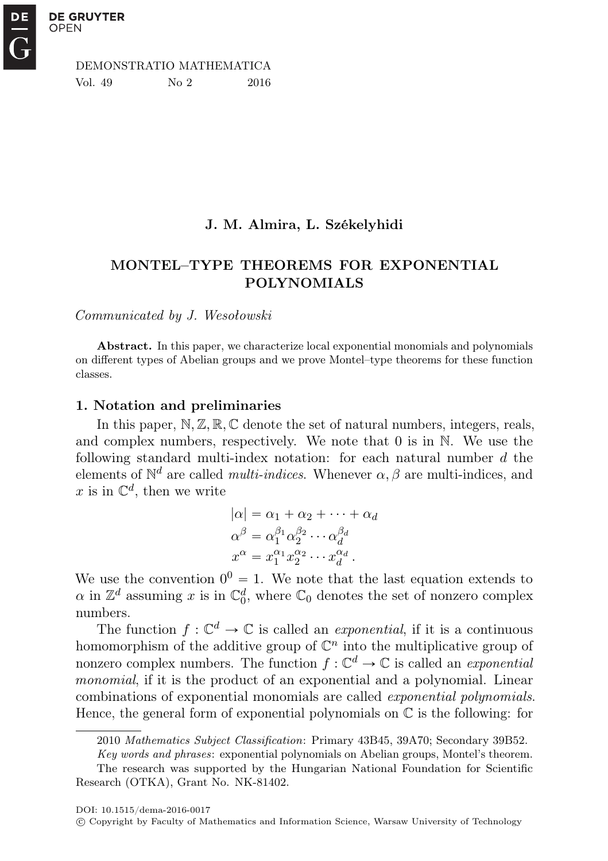DEMONSTRATIO MATHEMATICA Vol. 49 No 2 2016

## J. M. Almira, L. Székelyhidi

## MONTEL–TYPE THEOREMS FOR EXPONENTIAL POLYNOMIALS

Communicated by J. Wesołowski

Abstract. In this paper, we characterize local exponential monomials and polynomials on different types of Abelian groups and we prove Montel–type theorems for these function classes.

### 1. Notation and preliminaries

In this paper,  $\mathbb{N}, \mathbb{Z}, \mathbb{R}, \mathbb{C}$  denote the set of natural numbers, integers, reals, and complex numbers, respectively. We note that  $0$  is in  $\mathbb N$ . We use the following standard multi-index notation: for each natural number  $d$  the elements of  $\mathbb{N}^d$  are called *multi-indices*. Whenever  $\alpha, \beta$  are multi-indices, and x is in  $\mathbb{C}^d$ , then we write

$$
|\alpha| = \alpha_1 + \alpha_2 + \dots + \alpha_d
$$
  
\n
$$
\alpha^{\beta} = \alpha_1^{\beta_1} \alpha_2^{\beta_2} \cdots \alpha_d^{\beta_d}
$$
  
\n
$$
x^{\alpha} = x_1^{\alpha_1} x_2^{\alpha_2} \cdots x_d^{\alpha_d}
$$

We use the convention  $0^0 = 1$ . We note that the last equation extends to  $\alpha$  in  $\mathbb{Z}^d$  assuming x is in  $\mathbb{C}^d_0$ , where  $\mathbb{C}_0$  denotes the set of nonzero complex numbers.

The function  $f: \mathbb{C}^d \to \mathbb{C}$  is called an *exponential*, if it is a continuous homomorphism of the additive group of  $\mathbb{C}^n$  into the multiplicative group of nonzero complex numbers. The function  $f: \mathbb{C}^d \to \mathbb{C}$  is called an *exponential* monomial, if it is the product of an exponential and a polynomial. Linear combinations of exponential monomials are called exponential polynomials. Hence, the general form of exponential polynomials on  $\mathbb C$  is the following: for

<sup>2010</sup> Mathematics Subject Classification: Primary 43B45, 39A70; Secondary 39B52.

Key words and phrases: exponential polynomials on Abelian groups, Montel's theorem.

The research was supported by the Hungarian National Foundation for Scientific Research (OTKA), Grant No. NK-81402.

c Copyright by Faculty of Mathematics and Information Science, Warsaw University of Technology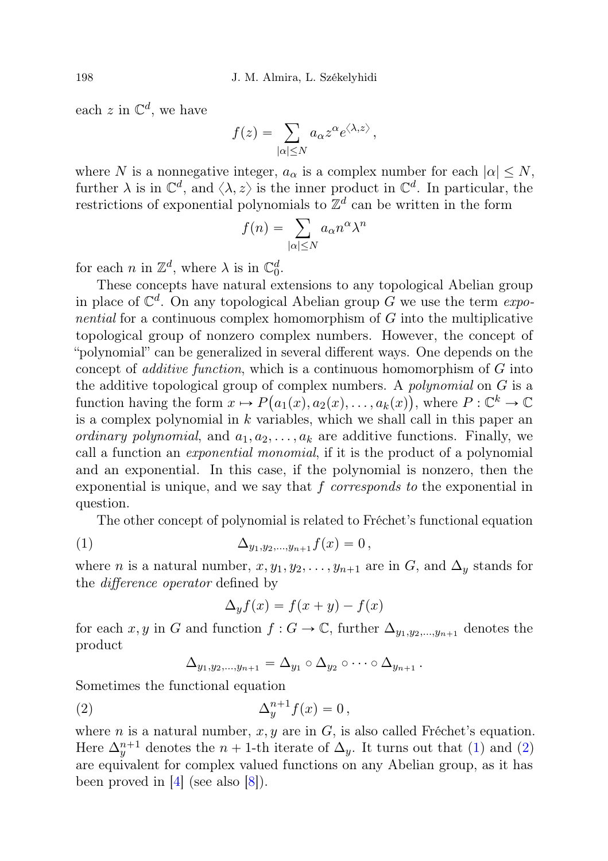each z in  $\mathbb{C}^d$ , we have

$$
f(z) = \sum_{|\alpha| \le N} a_{\alpha} z^{\alpha} e^{\langle \lambda, z \rangle},
$$

where N is a nonnegative integer,  $a_{\alpha}$  is a complex number for each  $|\alpha| \leq N$ , further  $\lambda$  is in  $\mathbb{C}^d$ , and  $\langle \lambda, z \rangle$  is the inner product in  $\mathbb{C}^d$ . In particular, the restrictions of exponential polynomials to  $\mathbb{Z}^d$  can be written in the form<br> $f(n) = \sum a_{\alpha} n^{\alpha} \lambda^n$ 

$$
f(n) = \sum_{|\alpha| \le N} a_{\alpha} n^{\alpha} \lambda^n
$$

for each *n* in  $\mathbb{Z}^d$ , where  $\lambda$  is in  $\mathbb{C}_0^d$ .

These concepts have natural extensions to any topological Abelian group in place of  $\mathbb{C}^d$ . On any topological Abelian group G we use the term exponential for a continuous complex homomorphism of G into the multiplicative topological group of nonzero complex numbers. However, the concept of "polynomial" can be generalized in several different ways. One depends on the concept of *additive function*, which is a continuous homomorphism of  $G$  into the additive topological group of complex numbers. A *polynomial* on  $G$  is a function having the form  $x \mapsto P(a_1(x), a_2(x), \ldots, a_k(x))$ , where  $P : \mathbb{C}^k \to \mathbb{C}$ is a complex polynomial in  $k$  variables, which we shall call in this paper an *ordinary polynomial*, and  $a_1, a_2, \ldots, a_k$  are additive functions. Finally, we call a function an exponential monomial, if it is the product of a polynomial and an exponential. In this case, if the polynomial is nonzero, then the exponential is unique, and we say that  $f$  corresponds to the exponential in question.

The other concept of polynomial is related to Fréchet's functional equation

(1) 
$$
\Delta_{y_1, y_2, ..., y_{n+1}} f(x) = 0,
$$

where *n* is a natural number,  $x, y_1, y_2, \ldots, y_{n+1}$  are in G, and  $\Delta_y$  stands for the difference operator defined by

$$
\Delta_y f(x) = f(x+y) - f(x)
$$

for each x, y in G and function  $f : G \to \mathbb{C}$ , further  $\Delta_{y_1, y_2, ..., y_{n+1}}$  denotes the product

$$
\Delta_{y_1,y_2,\dots,y_{n+1}}=\Delta_{y_1}\circ\Delta_{y_2}\circ\dots\circ\Delta_{y_{n+1}}.
$$

Sometimes the functional equation

$$
\Delta_y^{n+1} f(x) = 0,
$$

where *n* is a natural number,  $x, y$  are in  $G$ , is also called Fréchet's equation. Here  $\Delta_y^{n+1}$  denotes the  $n + 1$ -th iterate of  $\Delta_y$ . It turns out that (1) and (2) are equivalent for complex valued functions on any Abelian group, as it has been proved in  $|4|$  (see also  $|8|$ ).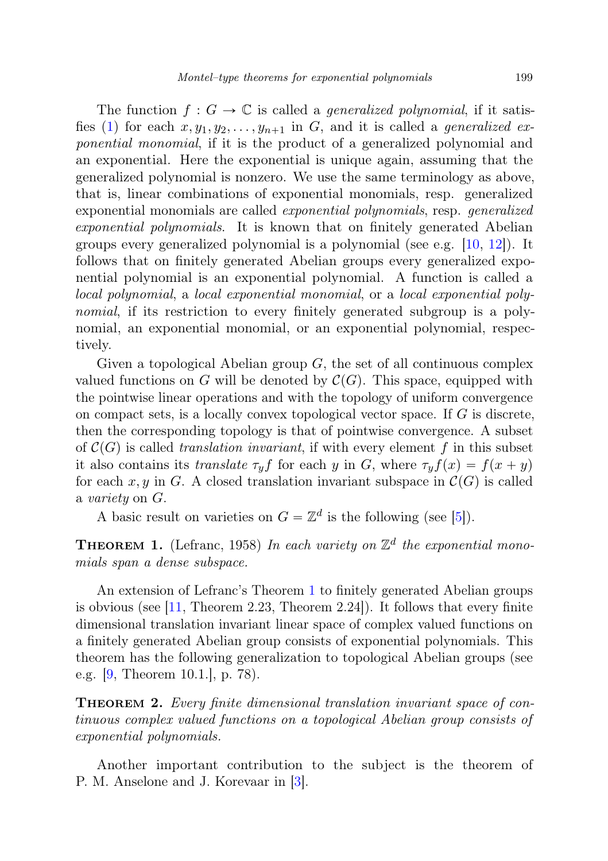The function  $f: G \to \mathbb{C}$  is called a *generalized polynomial*, if it satisfies (1) for each  $x, y_1, y_2, \ldots, y_{n+1}$  in G, and it is called a *generalized ex*ponential monomial, if it is the product of a generalized polynomial and an exponential. Here the exponential is unique again, assuming that the generalized polynomial is nonzero. We use the same terminology as above, that is, linear combinations of exponential monomials, resp. generalized exponential monomials are called exponential polynomials, resp. generalized exponential polynomials. It is known that on finitely generated Abelian groups every generalized polynomial is a polynomial (see e.g.  $[10, 12]$ ). It follows that on finitely generated Abelian groups every generalized exponential polynomial is an exponential polynomial. A function is called a local polynomial, a local exponential monomial, or a local exponential polynomial, if its restriction to every finitely generated subgroup is a polynomial, an exponential monomial, or an exponential polynomial, respectively.

Given a topological Abelian group  $G$ , the set of all continuous complex valued functions on G will be denoted by  $\mathcal{C}(G)$ . This space, equipped with the pointwise linear operations and with the topology of uniform convergence on compact sets, is a locally convex topological vector space. If  $G$  is discrete, then the corresponding topology is that of pointwise convergence. A subset of  $\mathcal{C}(G)$  is called translation invariant, if with every element f in this subset it also contains its translate  $\tau_y f$  for each y in G, where  $\tau_y f(x) = f(x + y)$ for each x, y in G. A closed translation invariant subspace in  $\mathcal{C}(G)$  is called a variety on G.

A basic result on varieties on  $G = \mathbb{Z}^d$  is the following (see [5]).

**THEOREM 1.** (Lefranc, 1958) In each variety on  $\mathbb{Z}^d$  the exponential monomials span a dense subspace.

An extension of Lefranc's Theorem 1 to finitely generated Abelian groups is obvious (see  $\left|11\right\rangle$ , Theorem 2.23, Theorem 2.24). It follows that every finite dimensional translation invariant linear space of complex valued functions on a finitely generated Abelian group consists of exponential polynomials. This theorem has the following generalization to topological Abelian groups (see e.g. [9, Theorem 10.1.], p. 78).

**THEOREM 2.** Every finite dimensional translation invariant space of continuous complex valued functions on a topological Abelian group consists of exponential polynomials.

Another important contribution to the subject is the theorem of P. M. Anselone and J. Korevaar in [3].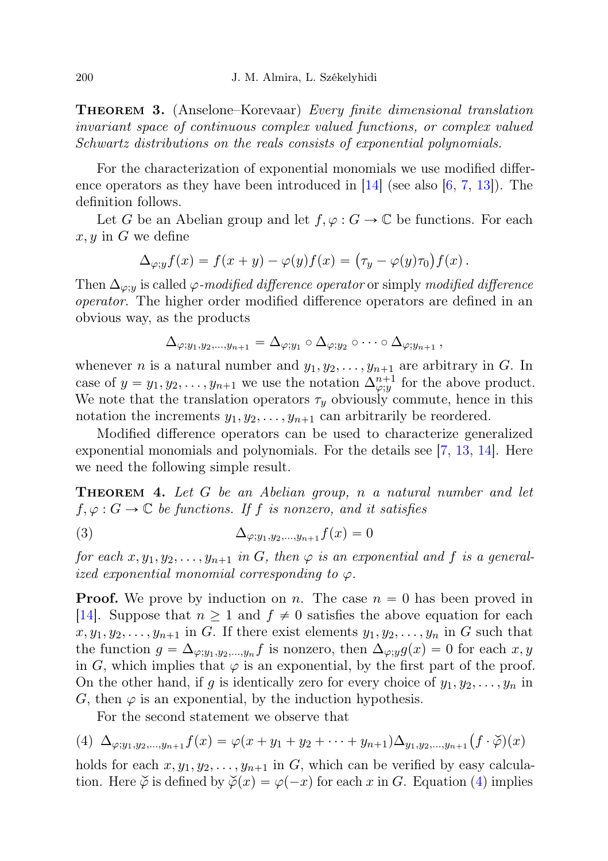**THEOREM 3.** (Anselone–Korevaar) Every finite dimensional translation invariant space of continuous complex valued functions, or complex valued Schwartz distributions on the reals consists of exponential polynomials.

For the characterization of exponential monomials we use modified difference operators as they have been introduced in  $[14]$  (see also  $[6, 7, 13]$ ). The definition follows.

Let G be an Abelian group and let  $f, \varphi : G \to \mathbb{C}$  be functions. For each  $x, y$  in G we define

$$
\Delta_{\varphi;y}f(x) = f(x+y) - \varphi(y)f(x) = (\tau_y - \varphi(y)\tau_0)f(x).
$$

Then  $\Delta_{\varphi,y}$  is called  $\varphi$ -modified difference operator or simply modified difference operator. The higher order modified difference operators are defined in an obvious way, as the products

$$
\Delta_{\varphi;y_1,y_2,\dots,y_{n+1}}=\Delta_{\varphi;y_1}\circ\Delta_{\varphi;y_2}\circ\dots\circ\Delta_{\varphi;y_{n+1}}\,,
$$

whenever *n* is a natural number and  $y_1, y_2, \ldots, y_{n+1}$  are arbitrary in G. In case of  $y = y_1, y_2, \ldots, y_{n+1}$  we use the notation  $\Delta_{\varphi; y}^{n+1}$  for the above product. We note that the translation operators  $\tau_y$  obviously commute, hence in this notation the increments  $y_1, y_2, \ldots, y_{n+1}$  can arbitrarily be reordered.

Modified difference operators can be used to characterize generalized exponential monomials and polynomials. For the details see [7, 13, 14]. Here we need the following simple result.

**THEOREM 4.** Let G be an Abelian group, n a natural number and let  $f, \varphi : G \to \mathbb{C}$  be functions. If f is nonzero, and it satisfies

(3)  $\Delta_{\varphi; y_1, y_2, ..., y_{n+1}} f(x) = 0$ 

for each  $x, y_1, y_2, \ldots, y_{n+1}$  in G, then  $\varphi$  is an exponential and f is a generalized exponential monomial corresponding to  $\varphi$ .

**Proof.** We prove by induction on n. The case  $n = 0$  has been proved in [14]. Suppose that  $n \geq 1$  and  $f \neq 0$  satisfies the above equation for each  $x, y_1, y_2, \ldots, y_{n+1}$  in G. If there exist elements  $y_1, y_2, \ldots, y_n$  in G such that the function  $g = \Delta_{\varphi; y_1, y_2, \dots, y_n} f$  is nonzero, then  $\Delta_{\varphi; y} g(x) = 0$  for each  $x, y$ in G, which implies that  $\varphi$  is an exponential, by the first part of the proof. On the other hand, if g is identically zero for every choice of  $y_1, y_2, \ldots, y_n$  in G, then  $\varphi$  is an exponential, by the induction hypothesis.

For the second statement we observe that

(4) 
$$
\Delta_{\varphi; y_1, y_2, \dots, y_{n+1}} f(x) = \varphi(x + y_1 + y_2 + \dots + y_{n+1}) \Delta_{y_1, y_2, \dots, y_{n+1}} (f \cdot \check{\varphi})(x)
$$

holds for each  $x, y_1, y_2, \ldots, y_{n+1}$  in G, which can be verified by easy calculation. Here  $\check{\varphi}$  is defined by  $\check{\varphi}(x) = \varphi(-x)$  for each x in G. Equation (4) implies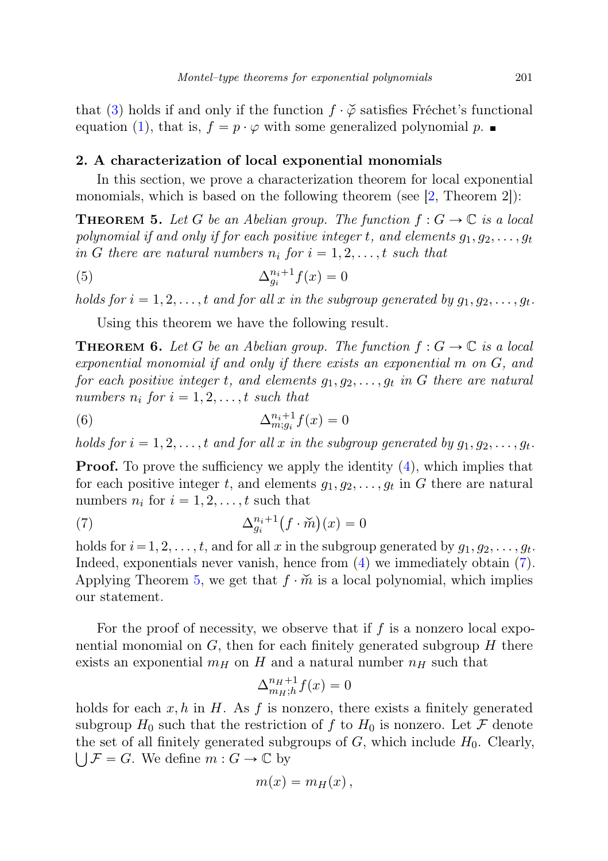that (3) holds if and only if the function  $f \cdot \check{\varphi}$  satisfies Fréchet's functional equation (1), that is,  $f = p \cdot \varphi$  with some generalized polynomial p.

### 2. A characterization of local exponential monomials

In this section, we prove a characterization theorem for local exponential monomials, which is based on the following theorem (see  $(2,$  Theorem 2):

**THEOREM 5.** Let G be an Abelian group. The function  $f: G \to \mathbb{C}$  is a local polynomial if and only if for each positive integer t, and elements  $g_1, g_2, \ldots, g_t$ in G there are natural numbers  $n_i$  for  $i = 1, 2, \ldots, t$  such that

$$
\Delta_{g_i}^{n_i+1} f(x) = 0
$$

holds for  $i = 1, 2, \ldots, t$  and for all x in the subgroup generated by  $g_1, g_2, \ldots, g_t$ .

Using this theorem we have the following result.

**THEOREM 6.** Let G be an Abelian group. The function  $f: G \to \mathbb{C}$  is a local exponential monomial if and only if there exists an exponential m on G, and for each positive integer t, and elements  $q_1, q_2, \ldots, q_t$  in G there are natural numbers  $n_i$  for  $i = 1, 2, \ldots, t$  such that

(6) 
$$
\Delta_{m;g_i}^{n_i+1} f(x) = 0
$$

holds for  $i = 1, 2, \ldots, t$  and for all x in the subgroup generated by  $g_1, g_2, \ldots, g_t$ .

**Proof.** To prove the sufficiency we apply the identity (4), which implies that for each positive integer t, and elements  $g_1, g_2, \ldots, g_t$  in G there are natural numbers  $n_i$  for  $i = 1, 2, \ldots, t$  such that

(7) 
$$
\Delta_{g_i}^{n_i+1}(f \cdot \widetilde{m})(x) = 0
$$

holds for  $i = 1, 2, \ldots, t$ , and for all x in the subgroup generated by  $g_1, g_2, \ldots, g_t$ . Indeed, exponentials never vanish, hence from (4) we immediately obtain (7). Applying Theorem 5, we get that  $f \cdot \tilde{m}$  is a local polynomial, which implies our statement.

For the proof of necessity, we observe that if  $f$  is a nonzero local exponential monomial on  $G$ , then for each finitely generated subgroup  $H$  there exists an exponential  $m_H$  on H and a natural number  $n_H$  such that

$$
\Delta_{m_H;h}^{n_H+1} f(x) = 0
$$

holds for each  $x, h$  in H. As f is nonzero, there exists a finitely generated subgroup  $H_0$  such that the restriction of f to  $H_0$  is nonzero. Let F denote the set of all finitely generated subgroups of  $G$ , which include  $H_0$ . Clearly,  $\bigcup \mathcal{F} = G$ . We define  $m : G \to \mathbb{C}$  by

$$
m(x)=m_H(x)\,
$$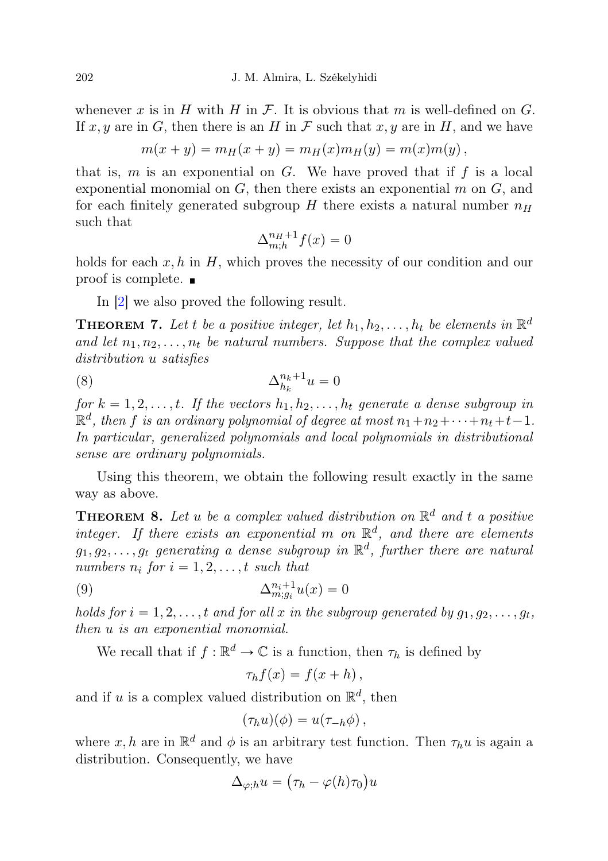whenever x is in H with H in F. It is obvious that m is well-defined on G. If x, y are in G, then there is an H in F such that x, y are in H, and we have

$$
m(x + y) = m_H(x + y) = m_H(x)m_H(y) = m(x)m(y),
$$

that is,  $m$  is an exponential on  $G$ . We have proved that if  $f$  is a local exponential monomial on  $G$ , then there exists an exponential  $m$  on  $G$ , and for each finitely generated subgroup  $H$  there exists a natural number  $n_H$ such that

$$
\Delta_{m;h}^{n_H+1} f(x) = 0
$$

holds for each  $x, h$  in  $H$ , which proves the necessity of our condition and our proof is complete.

In [2] we also proved the following result.

**THEOREM 7.** Let t be a positive integer, let  $h_1, h_2, \ldots, h_t$  be elements in  $\mathbb{R}^d$ and let  $n_1, n_2, \ldots, n_t$  be natural numbers. Suppose that the complex valued distribution u satisfies

$$
\Delta_{h_k}^{n_k+1} u = 0
$$

for  $k = 1, 2, \ldots, t$ . If the vectors  $h_1, h_2, \ldots, h_t$  generate a dense subgroup in  $\mathbb{R}^d$ , then f is an ordinary polynomial of degree at most  $n_1 + n_2 + \cdots + n_t + t - 1$ . In particular, generalized polynomials and local polynomials in distributional sense are ordinary polynomials.

Using this theorem, we obtain the following result exactly in the same way as above.

**THEOREM 8.** Let u be a complex valued distribution on  $\mathbb{R}^d$  and t a positive integer. If there exists an exponential m on  $\mathbb{R}^d$ , and there are elements  $g_1, g_2, \ldots, g_t$  generating a dense subgroup in  $\mathbb{R}^d$ , further there are natural numbers  $n_i$  for  $i = 1, 2, \ldots, t$  such that

(9) 
$$
\Delta_{m;g_i}^{n_i+1} u(x) = 0
$$

holds for  $i = 1, 2, \ldots, t$  and for all x in the subgroup generated by  $g_1, g_2, \ldots, g_t$ , then u is an exponential monomial.

We recall that if  $f : \mathbb{R}^d \to \mathbb{C}$  is a function, then  $\tau_h$  is defined by

$$
\tau_h f(x) = f(x+h),
$$

and if u is a complex valued distribution on  $\mathbb{R}^d$ , then

$$
(\tau_h u)(\phi) = u(\tau_{-h}\phi)\,,
$$

where  $x, h$  are in  $\mathbb{R}^d$  and  $\phi$  is an arbitrary test function. Then  $\tau_h u$  is again a distribution. Consequently, we have

$$
\Delta_{\varphi;h}u = (\tau_h - \varphi(h)\tau_0)u
$$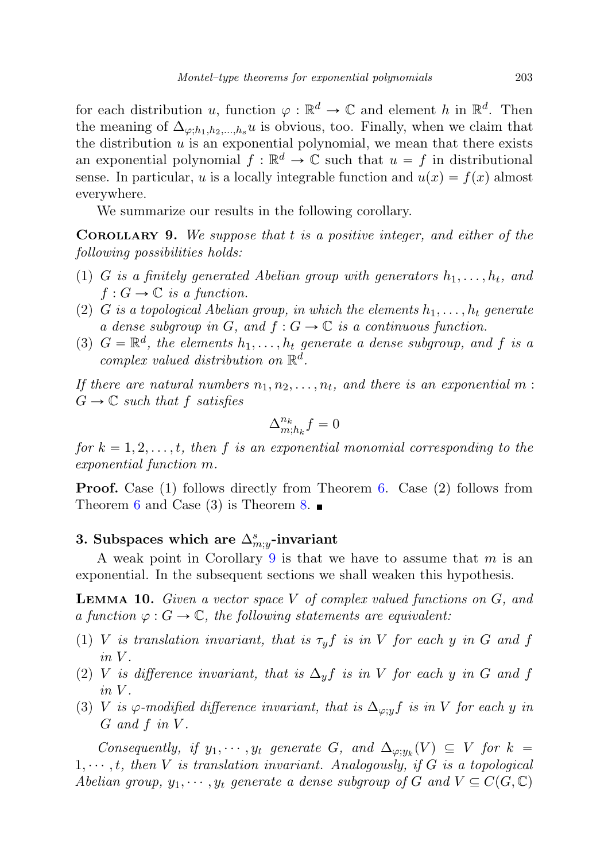for each distribution u, function  $\varphi : \mathbb{R}^d \to \mathbb{C}$  and element h in  $\mathbb{R}^d$ . Then the meaning of  $\Delta_{\varphi;h_1,h_2,...,h_s} u$  is obvious, too. Finally, when we claim that the distribution  $u$  is an exponential polynomial, we mean that there exists an exponential polynomial  $f : \mathbb{R}^d \to \mathbb{C}$  such that  $u = f$  in distributional sense. In particular, u is a locally integrable function and  $u(x) = f(x)$  almost everywhere.

We summarize our results in the following corollary.

**COROLLARY 9.** We suppose that  $t$  is a positive integer, and either of the following possibilities holds:

- (1) G is a finitely generated Abelian group with generators  $h_1, \ldots, h_t$ , and  $f: G \to \mathbb{C}$  is a function.
- (2) G is a topological Abelian group, in which the elements  $h_1, \ldots, h_t$  generate a dense subgroup in G, and  $f: G \to \mathbb{C}$  is a continuous function.
- (3)  $G = \mathbb{R}^d$ , the elements  $h_1, \ldots, h_t$  generate a dense subgroup, and f is a complex valued distribution on  $\mathbb{R}^d$ .

If there are natural numbers  $n_1, n_2, \ldots, n_t$ , and there is an exponential m:  $G \to \mathbb{C}$  such that f satisfies

$$
\Delta_{m;h_k}^{n_k}f=0
$$

for  $k = 1, 2, \ldots, t$ , then f is an exponential monomial corresponding to the exponential function m.

**Proof.** Case (1) follows directly from Theorem 6. Case (2) follows from Theorem 6 and Case (3) is Theorem 8.

# 3. Subspaces which are  $\Delta_{m;y}^s$ -invariant

A weak point in Corollary 9 is that we have to assume that  $m$  is an exponential. In the subsequent sections we shall weaken this hypothesis.

**LEMMA 10.** Given a vector space  $V$  of complex valued functions on  $G$ , and a function  $\varphi : G \to \mathbb{C}$ , the following statements are equivalent:

- (1) V is translation invariant, that is  $\tau_y f$  is in V for each y in G and f  $in V$ .
- (2) V is difference invariant, that is  $\Delta_y f$  is in V for each y in G and f  $in V$ .
- (3) V is  $\varphi$ -modified difference invariant, that is  $\Delta_{\varphi; y} f$  is in V for each y in  $G$  and  $f$  in  $V$ .

Consequently, if  $y_1, \dots, y_t$  generate G, and  $\Delta_{\varphi, y_k}(V) \subseteq V$  for  $k =$  $1, \dots, t$ , then V is translation invariant. Analogously, if G is a topological Abelian group,  $y_1, \dots, y_t$  generate a dense subgroup of G and  $V \subseteq C(G, \mathbb{C})$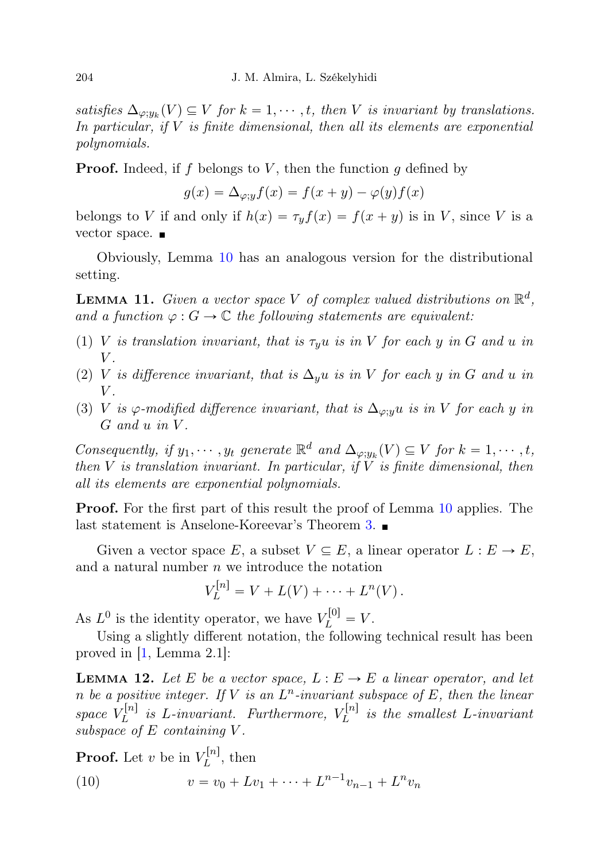satisfies  $\Delta_{\varphi; y_k}(V) \subseteq V$  for  $k = 1, \dots, t$ , then V is invariant by translations. In particular, if  $V$  is finite dimensional, then all its elements are exponential polynomials.

**Proof.** Indeed, if f belongs to V, then the function g defined by

$$
g(x) = \Delta_{\varphi; y} f(x) = f(x + y) - \varphi(y) f(x)
$$

belongs to V if and only if  $h(x) = \tau_y f(x) = f(x + y)$  is in V, since V is a vector space. ■

Obviously, Lemma 10 has an analogous version for the distributional setting.

**LEMMA 11.** Given a vector space V of complex valued distributions on  $\mathbb{R}^d$ , and a function  $\varphi : G \to \mathbb{C}$  the following statements are equivalent:

- (1) V is translation invariant, that is  $\tau_y u$  is in V for each y in G and u in  $V$ .
- (2) V is difference invariant, that is  $\Delta_y u$  is in V for each y in G and u in  $V$ .
- (3) V is  $\varphi$ -modified difference invariant, that is  $\Delta_{\varphi; y} u$  is in V for each y in  $G$  and  $u$  in  $V$ .

Consequently, if  $y_1, \dots, y_t$  generate  $\mathbb{R}^d$  and  $\Delta_{\varphi; y_k}(V) \subseteq V$  for  $k = 1, \dots, t$ , then V is translation invariant. In particular, if  $\overline{V}$  is finite dimensional, then all its elements are exponential polynomials.

Proof. For the first part of this result the proof of Lemma 10 applies. The last statement is Anselone-Koreevar's Theorem 3.

Given a vector space E, a subset  $V \subseteq E$ , a linear operator  $L : E \to E$ , and a natural number  $n$  we introduce the notation

$$
V_L^{[n]} = V + L(V) + \dots + L^n(V).
$$

As  $L^0$  is the identity operator, we have  $V_L^{[0]} = V$ .

Using a slightly different notation, the following technical result has been proved in [1, Lemma 2.1]:

**LEMMA 12.** Let E be a vector space,  $L : E \to E$  a linear operator, and let n be a positive integer. If V is an  $L^n$ -invariant subspace of E, then the linear space  $V_L^{[n]}$  $\mathcal{L}^{[n]}_L$  is L-invariant. Furthermore,  $V^{[n]}_L$  $L^{[n]}$  is the smallest L-invariant subspace of  $E$  containing  $V$ .

**Proof.** Let v be in  $V_L^{[n]}$  $L^{[n]}$ , then

(10) 
$$
v = v_0 + Lv_1 + \dots + L^{n-1}v_{n-1} + L^n v_n
$$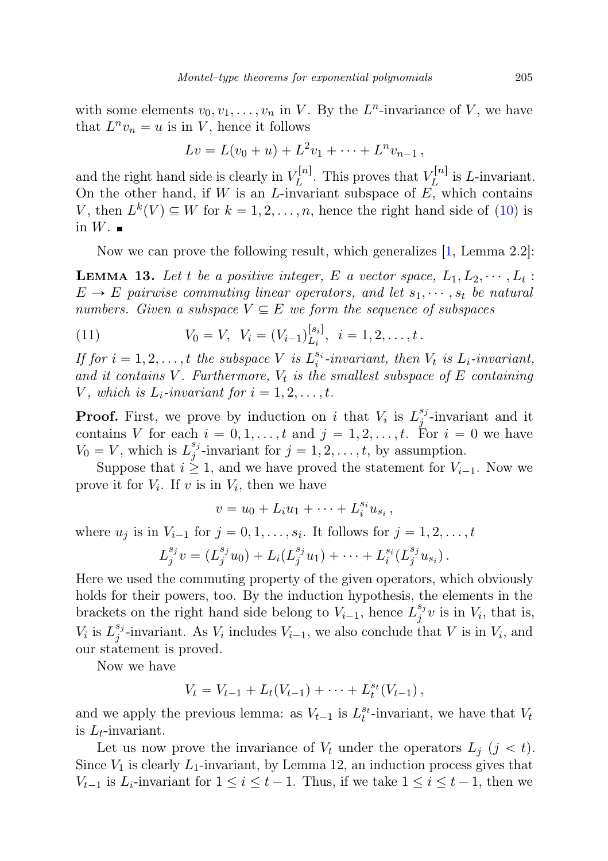with some elements  $v_0, v_1, \ldots, v_n$  in V. By the  $L^n$ -invariance of V, we have that  $L^n v_n = u$  is in V, hence it follows

$$
Lv = L(v_0 + u) + L^2v_1 + \cdots + L^nv_{n-1},
$$

and the right hand side is clearly in  $V_L^{[n]}$  $L^{[n]}$ . This proves that  $V_L^{[n]}$  $L^{[n]}$  is *L*-invariant. On the other hand, if  $W$  is an  $L$ -invariant subspace of  $E$ , which contains V, then  $L^k(V) \subseteq W$  for  $k = 1, 2, ..., n$ , hence the right hand side of (10) is in  $W$ .

Now we can prove the following result, which generalizes [1, Lemma 2.2]:

**LEMMA 13.** Let t be a positive integer, E a vector space,  $L_1, L_2, \cdots, L_t$ :  $E \to E$  pairwise commuting linear operators, and let  $s_1, \dots, s_t$  be natural numbers. Given a subspace  $V \subseteq E$  we form the sequence of subspaces

(11) 
$$
V_0 = V, \ \ V_i = (V_{i-1})_{L_i}^{[s_i]}, \ \ i = 1, 2, \ldots, t.
$$

If for  $i = 1, 2, ..., t$  the subspace V is  $L_i^{s_i}$ -invariant, then  $V_t$  is  $L_i$ -invariant, and it contains V. Furthermore,  $V_t$  is the smallest subspace of E containing V, which is  $L_i$ -invariant for  $i = 1, 2, \ldots, t$ .

**Proof.** First, we prove by induction on i that  $V_i$  is  $L_j^{s_j}$  $j^{s_j}$ -invariant and it contains V for each  $i = 0, 1, \ldots, t$  and  $j = 1, 2, \ldots, t$ . For  $i = 0$  we have  $V_0 = V$ , which is  $L_j^{s_j}$  $j^{\{s_j\}}$ -invariant for  $j = 1, 2, \ldots, t$ , by assumption.

Suppose that  $i \geq 1$ , and we have proved the statement for  $V_{i-1}$ . Now we prove it for  $V_i$ . If v is in  $V_i$ , then we have

$$
v=u_0+L_iu_1+\cdots+L_i^{s_i}u_{s_i},
$$

where  $u_j$  is in  $V_{i-1}$  for  $j = 0, 1, \ldots, s_i$ . It follows for  $j = 1, 2, \ldots, t$ 

$$
L_j^{s_j}v = (L_j^{s_j}u_0) + L_i(L_j^{s_j}u_1) + \cdots + L_i^{s_i}(L_j^{s_j}u_{s_i}).
$$

Here we used the commuting property of the given operators, which obviously holds for their powers, too. By the induction hypothesis, the elements in the brackets on the right hand side belong to  $V_{i-1}$ , hence  $L_j^{s_j}$  $j^{s_j}v$  is in  $V_i$ , that is,  $V_i$  is  $L_j^{s_j}$ <sup>*s*<sub>j</sub></sup>-invariant. As  $V_i$  includes  $V_{i-1}$ , we also conclude that V is in  $V_i$ , and our statement is proved.

Now we have

$$
V_t = V_{t-1} + L_t(V_{t-1}) + \cdots + L_t^{s_t}(V_{t-1}),
$$

and we apply the previous lemma: as  $V_{t-1}$  is  $L_t^{s_t}$ -invariant, we have that  $V_t$ is  $L_t$ -invariant.

Let us now prove the invariance of  $V_t$  under the operators  $L_i$   $(j < t)$ . Since  $V_1$  is clearly  $L_1$ -invariant, by Lemma 12, an induction process gives that  $V_{t-1}$  is  $L_i$ -invariant for  $1 \leq i \leq t-1$ . Thus, if we take  $1 \leq i \leq t-1$ , then we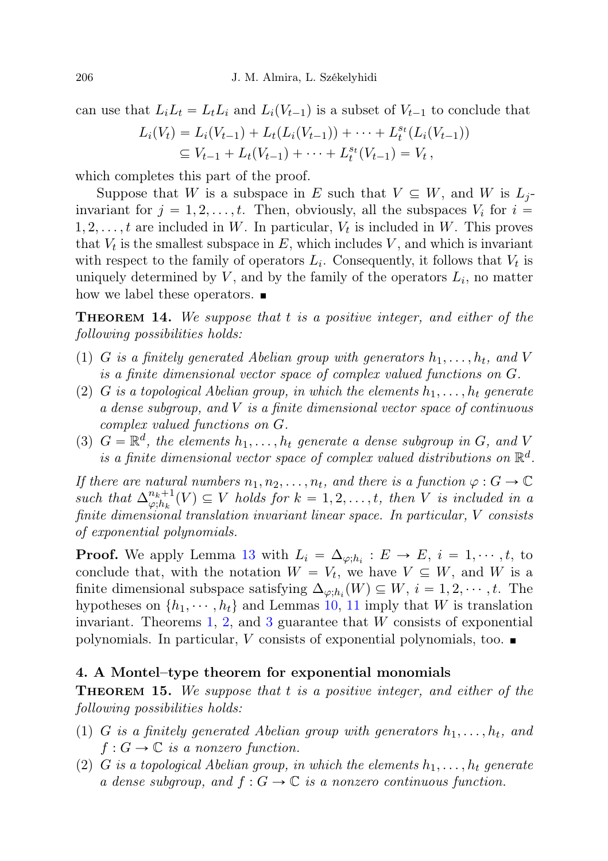can use that  $L_i L_t = L_t L_i$  and  $L_i(V_{t-1})$  is a subset of  $V_{t-1}$  to conclude that

$$
L_i(V_t) = L_i(V_{t-1}) + L_t(L_i(V_{t-1})) + \cdots + L_t^{s_t}(L_i(V_{t-1}))
$$
  
\n
$$
\subseteq V_{t-1} + L_t(V_{t-1}) + \cdots + L_t^{s_t}(V_{t-1}) = V_t,
$$

which completes this part of the proof.

Suppose that W is a subspace in E such that  $V \subseteq W$ , and W is  $L_i$ invariant for  $j = 1, 2, ..., t$ . Then, obviously, all the subspaces  $V_i$  for  $i =$  $1, 2, \ldots, t$  are included in W. In particular,  $V_t$  is included in W. This proves that  $V_t$  is the smallest subspace in E, which includes V, and which is invariant with respect to the family of operators  $L_i$ . Consequently, it follows that  $V_t$  is uniquely determined by  $V$ , and by the family of the operators  $L_i$ , no matter how we label these operators.  $\blacksquare$ 

**THEOREM 14.** We suppose that t is a positive integer, and either of the following possibilities holds:

- (1) G is a finitely generated Abelian group with generators  $h_1, \ldots, h_t$ , and V is a finite dimensional vector space of complex valued functions on G.
- (2) G is a topological Abelian group, in which the elements  $h_1, \ldots, h_t$  generate a dense subgroup, and V is a finite dimensional vector space of continuous complex valued functions on G.
- (3)  $G = \mathbb{R}^d$ , the elements  $h_1, \ldots, h_t$  generate a dense subgroup in G, and V is a finite dimensional vector space of complex valued distributions on  $\mathbb{R}^d$ .

If there are natural numbers  $n_1, n_2, \ldots, n_t$ , and there is a function  $\varphi : G \to \mathbb{C}$ such that  $\Delta^{n_k+1}_{\omega \cdot h_k}$  $\mathcal{P}_{\varphi,h_k}^{n_k+1}(V) \subseteq V$  holds for  $k = 1, 2, \ldots, t$ , then V is included in a finite dimensional translation invariant linear space. In particular, V consists of exponential polynomials.

**Proof.** We apply Lemma 13 with  $L_i = \Delta_{\varphi; h_i} : E \to E, i = 1, \dots, t$ , to conclude that, with the notation  $W = V_t$ , we have  $V \subseteq W$ , and W is a finite dimensional subspace satisfying  $\Delta_{\varphi;h_i}(W) \subseteq W, i = 1, 2, \cdots, t$ . The hypotheses on  $\{h_1, \dots, h_t\}$  and Lemmas 10, 11 imply that W is translation invariant. Theorems 1, 2, and 3 guarantee that  $W$  consists of exponential polynomials. In particular, V consists of exponential polynomials, too.  $\blacksquare$ 

### 4. A Montel–type theorem for exponential monomials

**THEOREM 15.** We suppose that t is a positive integer, and either of the following possibilities holds:

- (1) G is a finitely generated Abelian group with generators  $h_1, \ldots, h_t$ , and  $f: G \to \mathbb{C}$  is a nonzero function.
- (2) G is a topological Abelian group, in which the elements  $h_1, \ldots, h_t$  generate a dense subgroup, and  $f: G \to \mathbb{C}$  is a nonzero continuous function.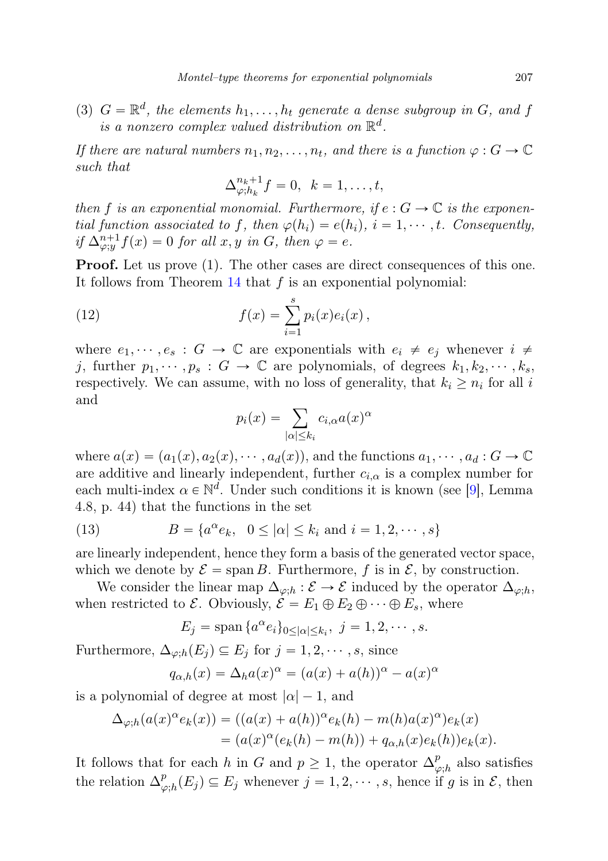(3)  $G = \mathbb{R}^d$ , the elements  $h_1, \ldots, h_t$  generate a dense subgroup in G, and f is a nonzero complex valued distribution on  $\mathbb{R}^d$ .

If there are natural numbers  $n_1, n_2, \ldots, n_t$ , and there is a function  $\varphi : G \to \mathbb{C}$ such that

$$
\Delta_{\varphi;h_k}^{n_k+1}f=0, \ \ k=1,\ldots,t,
$$

then f is an exponential monomial. Furthermore, if  $e : G \to \mathbb{C}$  is the exponential function associated to f, then  $\varphi(h_i) = e(h_i)$ ,  $i = 1, \dots, t$ . Consequently, if  $\Delta_{\varphi;y}^{n+1} f(x) = 0$  for all  $x, y$  in  $G$ , then  $\varphi = e$ .

**Proof.** Let us prove  $(1)$ . The other cases are direct consequences of this one. It follows from Theorem  $14$  that f is an exponential polynomial:

(12) 
$$
f(x) = \sum_{i=1}^{s} p_i(x)e_i(x),
$$

where  $e_1, \dots, e_s : G \to \mathbb{C}$  are exponentials with  $e_i \neq e_j$  whenever  $i \neq$ j, further  $p_1, \dots, p_s : G \to \mathbb{C}$  are polynomials, of degrees  $k_1, k_2, \dots, k_s$ , respectively. We can assume, with no loss of generality, that  $k_i \geq n_i$  for all i and

$$
p_i(x) = \sum_{|\alpha| \le k_i} c_{i,\alpha} a(x)^{\alpha}
$$

where  $a(x) = (a_1(x), a_2(x), \dots, a_d(x))$ , and the functions  $a_1, \dots, a_d : G \to \mathbb{C}$ are additive and linearly independent, further  $c_{i,\alpha}$  is a complex number for each multi-index  $\alpha \in \mathbb{N}^d$ . Under such conditions it is known (see [9], Lemma 4.8, p. 44) that the functions in the set

(13) 
$$
B = \{a^{\alpha}e_k, \ 0 \leq |\alpha| \leq k_i \text{ and } i = 1, 2, \cdots, s\}
$$

are linearly independent, hence they form a basis of the generated vector space, which we denote by  $\mathcal{E} = \text{span } B$ . Furthermore, f is in  $\mathcal{E}$ , by construction.

We consider the linear map  $\Delta_{\varphi,h} : \mathcal{E} \to \mathcal{E}$  induced by the operator  $\Delta_{\varphi,h}$ , when restricted to  $\mathcal{E}$ . Obviously,  $\mathcal{E} = E_1 \oplus E_2 \oplus \cdots \oplus E_s$ , where

$$
E_j = \operatorname{span} \{ a^{\alpha} e_i \}_{0 \leq |\alpha| \leq k_i}, \ j = 1, 2, \cdots, s.
$$

Furthermore,  $\Delta_{\varphi;h}(E_j) \subseteq E_j$  for  $j = 1, 2, \dots, s$ , since

$$
q_{\alpha,h}(x) = \Delta_h a(x)^\alpha = (a(x) + a(h))^\alpha - a(x)^\alpha
$$

is a polynomial of degree at most  $|\alpha| - 1$ , and

$$
\Delta_{\varphi;h}(a(x)^{\alpha}e_k(x)) = ((a(x) + a(h))^{\alpha}e_k(h) - m(h)a(x)^{\alpha})e_k(x)
$$
  
= 
$$
(a(x)^{\alpha}(e_k(h) - m(h)) + q_{\alpha,h}(x)e_k(h))e_k(x).
$$

It follows that for each h in G and  $p \geq 1$ , the operator  $\Delta_{\omega}^{p}$  $_{\varphi,h}^p$  also satisfies the relation  $\Delta^p_\mu$  $\mathcal{L}_{\varphi,h}^p(E_j) \subseteq E_j$  whenever  $j = 1, 2, \cdots, s$ , hence if g is in  $\mathcal{E}$ , then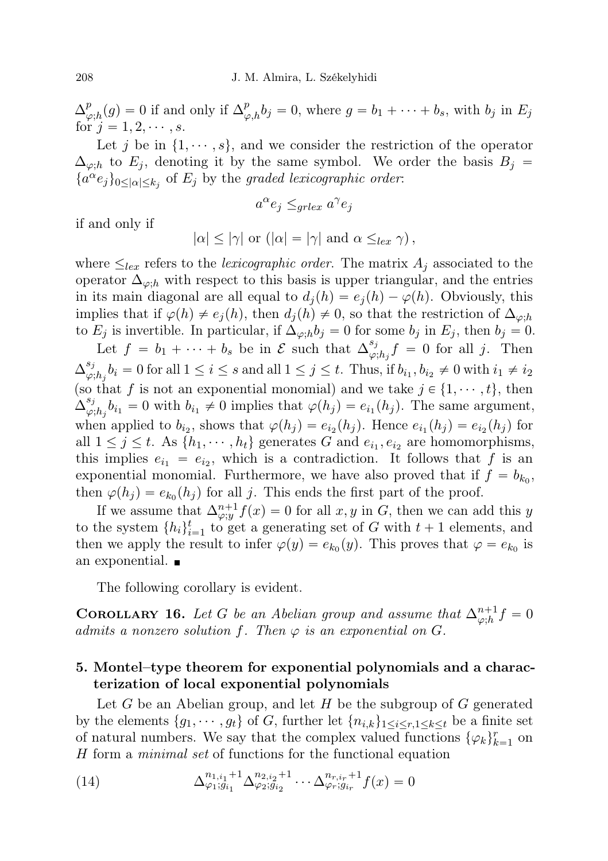$\Delta^p_{\alpha}$  $_{\varphi,h}^p(g) = 0$  if and only if  $\Delta_{\varphi,h}^p b_j = 0$ , where  $g = b_1 + \cdots + b_s$ , with  $b_j$  in  $E_j$ for  $j = 1, 2, \dots, s$ .

Let j be in  $\{1, \dots, s\}$ , and we consider the restriction of the operator  $\Delta_{\varphi;h}$  to  $E_j$ , denoting it by the same symbol. We order the basis  $B_j =$  ${a^{\alpha}e_j}_{0 \leq |\alpha| \leq k_j}$  of  $E_j$  by the graded lexicographic order:

$$
a^{\alpha}e_j \leq_{grlex} a^{\gamma}e_j
$$

if and only if

$$
|\alpha| \le |\gamma|
$$
 or  $(|\alpha| = |\gamma|$  and  $\alpha \leq_{lex} \gamma$ ),

where  $\leq_{lex}$  refers to the *lexicographic order*. The matrix  $A_j$  associated to the operator  $\Delta_{\varphi,h}$  with respect to this basis is upper triangular, and the entries in its main diagonal are all equal to  $d_i(h) = e_i(h) - \varphi(h)$ . Obviously, this implies that if  $\varphi(h) \neq e_j(h)$ , then  $d_j(h) \neq 0$ , so that the restriction of  $\Delta_{\varphi;h}$ to  $E_j$  is invertible. In particular, if  $\Delta_{\varphi,h}b_j = 0$  for some  $b_j$  in  $E_j$ , then  $b_j = 0$ .

Let  $f = b_1 + \cdots + b_s$  be in  $\mathcal{E}$  such that  $\Delta_{\omega}^{s_j}$  $\int_{\varphi;h_j}^{s_j} f = 0$  for all j. Then  $\Delta^{s_j}_{\omega}$  $\psi_{\varphi,h_j}^{s_j}b_i = 0$  for all  $1 \leq i \leq s$  and all  $1 \leq j \leq t$ . Thus, if  $b_{i_1}, b_{i_2} \neq 0$  with  $i_1 \neq i_2$ (so that f is not an exponential monomial) and we take  $j \in \{1, \dots, t\}$ , then  $\Delta^{s_j}_{\omega}$  $\varphi_{\beta,h_j} b_{i_1} = 0$  with  $b_{i_1} \neq 0$  implies that  $\varphi(h_j) = e_{i_1}(h_j)$ . The same argument, when applied to  $b_{i_2}$ , shows that  $\varphi(h_j) = e_{i_2}(h_j)$ . Hence  $e_{i_1}(h_j) = e_{i_2}(h_j)$  for all  $1 \leq j \leq t$ . As  $\{h_1, \dots, h_t\}$  generates G and  $e_{i_1}, e_{i_2}$  are homomorphisms, this implies  $e_{i_1} = e_{i_2}$ , which is a contradiction. It follows that f is an exponential monomial. Furthermore, we have also proved that if  $f = b_{k_0}$ , then  $\varphi(h_j) = e_{k_0}(h_j)$  for all j. This ends the first part of the proof.

If we assume that  $\Delta_{\varphi;y}^{n+1} f(x) = 0$  for all x, y in G, then we can add this y to the system  $\{h_i\}_{i=1}^t$  to get a generating set of G with  $t+1$  elements, and then we apply the result to infer  $\varphi(y) = e_{k_0}(y)$ . This proves that  $\varphi = e_{k_0}$  is an exponential.

The following corollary is evident.

**COROLLARY 16.** Let G be an Abelian group and assume that  $\Delta_{\varphi;h}^{n+1} f = 0$ admits a nonzero solution f. Then  $\varphi$  is an exponential on G.

## 5. Montel–type theorem for exponential polynomials and a characterization of local exponential polynomials

Let G be an Abelian group, and let H be the subgroup of  $G$  generated by the elements  $\{g_1, \dots, g_t\}$  of G, further let  $\{n_{i,k}\}_{1\leq i\leq r, 1\leq k\leq t}$  be a finite set of natural numbers. We say that the complex valued functions  $\{\varphi_k\}_{k=1}^r$  on H form a minimal set of functions for the functional equation

(14) 
$$
\Delta_{\varphi_1; g_{i_1}}^{n_{1,i_1}+1} \Delta_{\varphi_2; g_{i_2}}^{n_{2,i_2}+1} \cdots \Delta_{\varphi_r; g_{i_r}}^{n_{r,i_r}+1} f(x) = 0
$$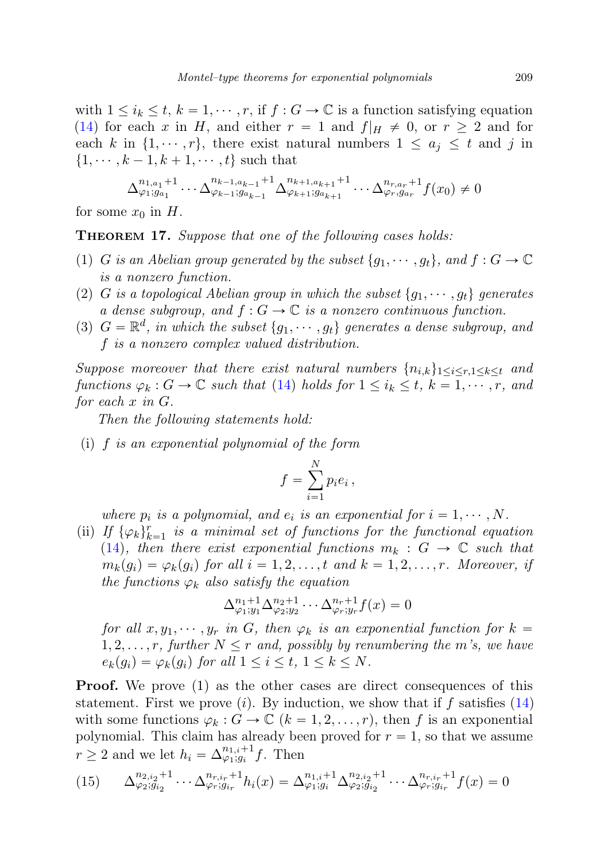with  $1 \leq i_k \leq t, k = 1, \cdots, r$ , if  $f : G \to \mathbb{C}$  is a function satisfying equation (14) for each x in H, and either  $r = 1$  and  $f|_H \neq 0$ , or  $r \geq 2$  and for each k in  $\{1, \dots, r\}$ , there exist natural numbers  $1 \le a_j \le t$  and j in  $\{1, \dots, k-1, k+1, \dots, t\}$  such that

$$
\Delta_{\varphi_1;g_{a_1}}^{n_{1,a_1}+1} \cdots \Delta_{\varphi_{k-1};g_{a_{k-1}}}^{n_{k-1,a_{k-1}}+1} \Delta_{\varphi_{k+1};g_{a_{k+1}}}^{n_{k+1,a_{k+1}}+1} \cdots \Delta_{\varphi_r,g_{a_r}}^{n_{r,a_r}+1} f(x_0) \neq 0
$$

for some  $x_0$  in H.

**THEOREM 17.** Suppose that one of the following cases holds:

- (1) G is an Abelian group generated by the subset  $\{g_1, \dots, g_t\}$ , and  $f : G \to \mathbb{C}$ is a nonzero function.
- (2) G is a topological Abelian group in which the subset  $\{g_1, \dots, g_t\}$  generates a dense subgroup, and  $f: G \to \mathbb{C}$  is a nonzero continuous function.
- (3)  $G = \mathbb{R}^d$ , in which the subset  $\{g_1, \dots, g_t\}$  generates a dense subgroup, and f is a nonzero complex valued distribution.

Suppose moreover that there exist natural numbers  $\{n_{i,k}\}_{1\leq i\leq r, 1\leq k\leq t}$  and functions  $\varphi_k : G \to \mathbb{C}$  such that (14) holds for  $1 \leq i_k \leq t$ ,  $k = 1, \dots, r$ , and for each x in G.

Then the following statements hold:

(i) f is an exponential polynomial of the form

$$
f = \sum_{i=1}^{N} p_i e_i,
$$

where  $p_i$  is a polynomial, and  $e_i$  is an exponential for  $i = 1, \dots, N$ .

(ii) If  $\{\varphi_k\}_{k=1}^r$  is a minimal set of functions for the functional equation (14), then there exist exponential functions  $m_k : G \to \mathbb{C}$  such that  $m_k(g_i) = \varphi_k(g_i)$  for all  $i = 1, 2, \ldots, t$  and  $k = 1, 2, \ldots, r$ . Moreover, if the functions  $\varphi_k$  also satisfy the equation

$$
\Delta_{\varphi_1; y_1}^{n_1+1} \Delta_{\varphi_2; y_2}^{n_2+1} \cdots \Delta_{\varphi_r; y_r}^{n_r+1} f(x) = 0
$$

for all  $x, y_1, \dots, y_r$  in G, then  $\varphi_k$  is an exponential function for  $k =$  $1, 2, \ldots, r$ , further  $N \leq r$  and, possibly by renumbering the m's, we have  $e_k(g_i) = \varphi_k(g_i)$  for all  $1 \leq i \leq t, 1 \leq k \leq N$ .

**Proof.** We prove  $(1)$  as the other cases are direct consequences of this statement. First we prove (*i*). By induction, we show that if f satisfies (14) with some functions  $\varphi_k : G \to \mathbb{C}$   $(k = 1, 2, \ldots, r)$ , then f is an exponential polynomial. This claim has already been proved for  $r = 1$ , so that we assume  $r \geq 2$  and we let  $h_i = \Delta_{\varphi_1;g_i}^{n_1,i+1} f$ . Then

$$
(15) \qquad \Delta_{\varphi_2; g_{i_2}}^{n_{2,i_2}+1} \cdots \Delta_{\varphi_r; g_{i_r}}^{n_{r,i_r}+1} h_i(x) = \Delta_{\varphi_1; g_i}^{n_{1,i}+1} \Delta_{\varphi_2; g_{i_2}}^{n_{2,i_2}+1} \cdots \Delta_{\varphi_r; g_{i_r}}^{n_{r,i_r}+1} f(x) = 0
$$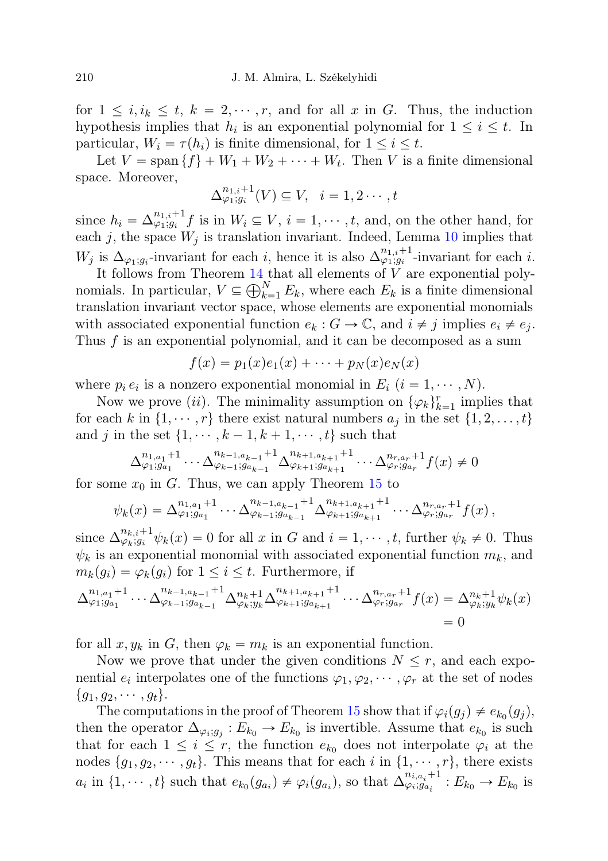for  $1 \leq i, i_k \leq t, k = 2, \dots, r$ , and for all x in G. Thus, the induction hypothesis implies that  $h_i$  is an exponential polynomial for  $1 \leq i \leq t$ . In particular,  $W_i = \tau(h_i)$  is finite dimensional, for  $1 \leq i \leq t$ .

Let  $V = \text{span} \{f\} + W_1 + W_2 + \cdots + W_t$ . Then V is a finite dimensional space. Moreover,

$$
\Delta_{\varphi_1;g_i}^{n_{1,i}+1}(V) \subseteq V, \quad i=1,2\cdots,t
$$

since  $h_i = \Delta_{\varphi_1;g_i}^{n_{1,i}+1} f$  is in  $W_i \subseteq V$ ,  $i = 1,\dots, t$ , and, on the other hand, for each j, the space  $W_j$  is translation invariant. Indeed, Lemma 10 implies that  $W_j$  is  $\Delta_{\varphi_1;g_i}$ -invariant for each i, hence it is also  $\Delta_{\varphi_1;g_i}^{n_{1,i}+1}$ -invariant for each i.

It follows from Theorem 14 that all elements of V are exponential poly-<br>
it is a finite dimensional<br>  $V \subset \mathbb{R}^N$ . Equation and Equation is a finite dimensional nomials. In particular,  $V \subseteq \bigoplus_{k=1}^{N} E_k$ , where each  $E_k$  is a finite dimensional translation invariant vector space, whose elements are exponential monomials with associated exponential function  $e_k : G \to \mathbb{C}$ , and  $i \neq j$  implies  $e_i \neq e_j$ . Thus  $f$  is an exponential polynomial, and it can be decomposed as a sum

$$
f(x) = p_1(x)e_1(x) + \cdots + p_N(x)e_N(x)
$$

where  $p_i e_i$  is a nonzero exponential monomial in  $E_i$   $(i = 1, \dots, N)$ .

Now we prove (ii). The minimality assumption on  $\{\varphi_k\}_{k=1}^r$  implies that for each k in  $\{1, \dots, r\}$  there exist natural numbers  $a_j$  in the set  $\{1, 2, \dots, t\}$ and j in the set  $\{1, \dots, k-1, k+1, \dots, t\}$  such that

$$
\Delta_{\varphi_1;g_{a_1}}^{n_{1,a_1}+1} \cdots \Delta_{\varphi_{k-1};g_{a_{k-1}}}^{n_{k-1,a_{k-1}}+1} \Delta_{\varphi_{k+1};g_{a_{k+1}}}^{n_{k+1,a_{k+1}}+1} \cdots \Delta_{\varphi_r;g_{a_r}}^{n_{r,a_r}+1} f(x) \neq 0
$$

for some  $x_0$  in G. Thus, we can apply Theorem 15 to

$$
\psi_k(x) = \Delta_{\varphi_1; g_{a_1}}^{n_{1,a_1}+1} \cdots \Delta_{\varphi_{k-1}; g_{a_{k-1}}}^{n_{k-1,a_{k-1}}+1} \Delta_{\varphi_{k+1}; g_{a_{k+1}}}^{n_{k+1,a_{k+1}}+1} \cdots \Delta_{\varphi_r; g_{a_r}}^{n_{r,a_r}+1} f(x),
$$

since  $\Delta_{\varphi_k;g_i}^{n_{k,i}+1}\psi_k(x) = 0$  for all x in G and  $i = 1,\dots, t$ , further  $\psi_k \neq 0$ . Thus  $\psi_k$  is an exponential monomial with associated exponential function  $m_k$ , and  $m_k(g_i) = \varphi_k(g_i)$  for  $1 \leq i \leq t$ . Furthermore, if

$$
\Delta_{\varphi_1;g_{a_1}}^{n_{1,a_1}+1} \cdots \Delta_{\varphi_{k-1};g_{a_{k-1}}}^{n_{k-1,a_{k-1}}+1} \Delta_{\varphi_k; y_k}^{n_{k+1,a_{k+1}}+1} \Delta_{\varphi_{k+1};g_{a_{k+1}}}^{n_{k+1,a_{k+1}}+1} \cdots \Delta_{\varphi_r;g_{a_r}}^{n_{r,a_r}+1} f(x) = \Delta_{\varphi_k; y_k}^{n_k+1} \psi_k(x)
$$
  
= 0

for all  $x, y_k$  in G, then  $\varphi_k = m_k$  is an exponential function.

Now we prove that under the given conditions  $N \leq r$ , and each exponential  $e_i$  interpolates one of the functions  $\varphi_1, \varphi_2, \cdots, \varphi_r$  at the set of nodes  ${g_1, g_2, \cdots, g_t}.$ 

The computations in the proof of Theorem 15 show that if  $\varphi_i(g_j) \neq e_{k_0}(g_j)$ , then the operator  $\Delta_{\varphi_i,g_j}: E_{k_0} \to E_{k_0}$  is invertible. Assume that  $e_{k_0}$  is such that for each  $1 \leq i \leq r$ , the function  $e_{k_0}$  does not interpolate  $\varphi_i$  at the nodes  $\{g_1, g_2, \dots, g_t\}$ . This means that for each i in  $\{1, \dots, r\}$ , there exists  $a_i$  in  $\{1, \dots, t\}$  such that  $e_{k_0}(g_{a_i}) \neq \varphi_i(g_{a_i})$ , so that  $\Delta_{\varphi_i,g_{a_i}}^{n_{i,a_i}+1}$  $\varphi_{i;\overline{g_{a_i}}}^{n_{i,a_i+1}}:E_{k_0}\to E_{k_0}$  is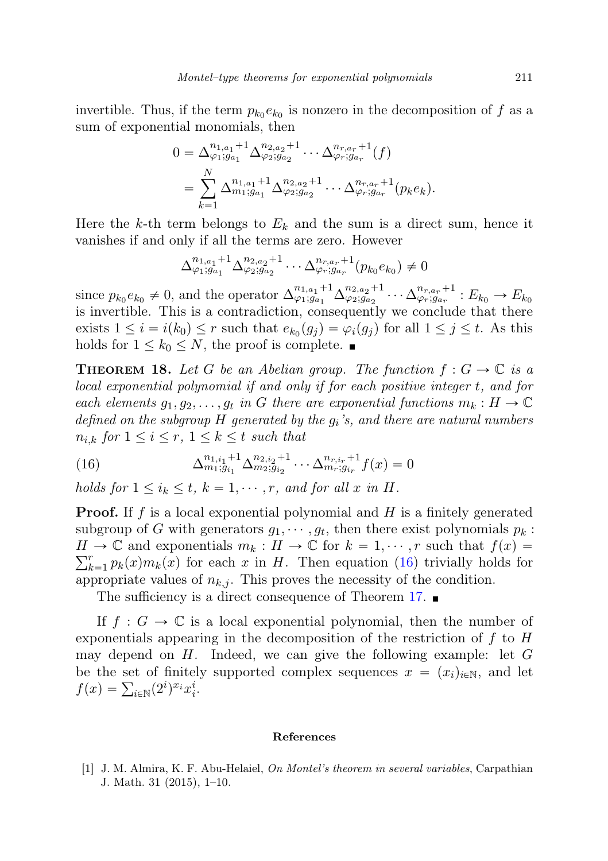invertible. Thus, if the term  $p_{k_0}e_{k_0}$  is nonzero in the decomposition of f as a sum of exponential monomials, then

$$
0 = \Delta_{\varphi_1; g_{a_1}}^{n_{1, a_1} + 1} \Delta_{\varphi_2; g_{a_2}}^{n_{2, a_2} + 1} \cdots \Delta_{\varphi_r; g_{a_r}}^{n_{r, a_r} + 1}(f)
$$
  
= 
$$
\sum_{k=1}^N \Delta_{m_1; g_{a_1}}^{n_{1, a_1} + 1} \Delta_{\varphi_2; g_{a_2}}^{n_{2, a_2} + 1} \cdots \Delta_{\varphi_r; g_{a_r}}^{n_{r, a_r} + 1}(p_k e_k).
$$

Here the k-th term belongs to  $E_k$  and the sum is a direct sum, hence it vanishes if and only if all the terms are zero. However

$$
\Delta_{\varphi_1;g_{a_1}}^{n_{1,a_1}+1} \Delta_{\varphi_2;g_{a_2}}^{n_{2,a_2}+1} \cdots \Delta_{\varphi_r;g_{a_r}}^{n_{r,a_r}+1}(p_{k_0}e_{k_0}) \neq 0
$$

since  $p_{k_0}e_{k_0} \neq 0$ , and the operator  $\Delta_{\varphi_1;\varphi_{a_1}}^{n_{1,a_1}+1}\Delta_{\varphi_2;\varphi_{a_2}}^{n_{2,a_2}+1}\cdots \Delta_{\varphi_r;\varphi_{a_r}}^{n_{r,a_r}+1}: E_{k_0} \to E_{k_0}$ is invertible. This is a contradiction, consequently we conclude that there exists  $1 \leq i = i(k_0) \leq r$  such that  $e_{k_0}(g_j) = \varphi_i(g_j)$  for all  $1 \leq j \leq t$ . As this holds for  $1 \leq k_0 \leq N$ , the proof is complete.

**THEOREM 18.** Let G be an Abelian group. The function  $f : G \to \mathbb{C}$  is a local exponential polynomial if and only if for each positive integer t, and for each elements  $g_1, g_2, \ldots, g_t$  in G there are exponential functions  $m_k : H \to \mathbb{C}$ defined on the subgroup H generated by the  $g_i$ 's, and there are natural numbers  $n_{i,k}$  for  $1 \leq i \leq r, 1 \leq k \leq t$  such that

(16) 
$$
\Delta_{m_1;g_{i_1}}^{n_{1,i_1}+1} \Delta_{m_2;g_{i_2}}^{n_{2,i_2}+1} \cdots \Delta_{m_r;g_{i_r}}^{n_{r,i_r}+1} f(x) = 0
$$

holds for  $1 \leq i_k \leq t$ ,  $k = 1, \dots, r$ , and for all x in H.

**Proof.** If f is a local exponential polynomial and H is a finitely generated subgroup of G with generators  $g_1, \dots, g_t$ , then there exist polynomials  $p_k$ :  $H \to \mathbb{C}$  and exponentials  $m_k : H \to \mathbb{C}$  for  $k = 1, \dots, r$  such that  $f(x) = \sum_{r=0}^{r} f(r) m_r(x)$  for each x in H. Then equation (16) trivially holds for  $_{k=1}^{r} p_k(x) m_k(x)$  for each x in H. Then equation (16) trivially holds for appropriate values of  $n_{k,j}$ . This proves the necessity of the condition.

The sufficiency is a direct consequence of Theorem 17.

If  $f: G \to \mathbb{C}$  is a local exponential polynomial, then the number of exponentials appearing in the decomposition of the restriction of  $f$  to  $H$ may depend on  $H$ . Indeed, we can give the following example: let  $G$ be the set of finitely supported complex sequences  $x = (x_i)_{i \in \mathbb{N}}$ , and let be the set of finitel<br>  $f(x) = \sum_{i \in \mathbb{N}} (2^i)^{x_i} x_i^i$ .

#### References

[1] J. M. Almira, K. F. Abu-Helaiel, On Montel's theorem in several variables, Carpathian J. Math. 31 (2015), 1–10.